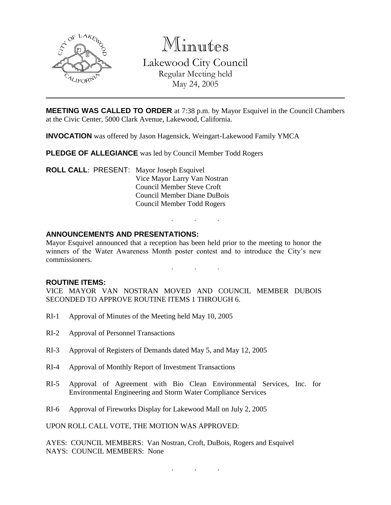

Minutes Lakewood City Council Regular Meeting held

May 24, 2005

**MEETING WAS CALLED TO ORDER** at 7:38 p.m. by Mayor Esquivel in the Council Chambers at the Civic Center, 5000 Clark Avenue, Lakewood, California.

**INVOCATION** was offered by Jason Hagensick, Weingart-Lakewood Family YMCA

**PLEDGE OF ALLEGIANCE** was led by Council Member Todd Rogers

**ROLL CALL**: PRESENT: Mayor Joseph Esquivel Vice Mayor Larry Van Nostran Council Member Steve Croft Council Member Diane DuBois Council Member Todd Rogers

## **ANNOUNCEMENTS AND PRESENTATIONS:**

Mayor Esquivel announced that a reception has been held prior to the meeting to honor the winners of the Water Awareness Month poster contest and to introduce the City's new commissioners.

. . .

. . .

#### **ROUTINE ITEMS:**

VICE MAYOR VAN NOSTRAN MOVED AND COUNCIL MEMBER DUBOIS SECONDED TO APPROVE ROUTINE ITEMS 1 THROUGH 6.

- RI-1 Approval of Minutes of the Meeting held May 10, 2005
- RI-2 Approval of Personnel Transactions
- RI-3 Approval of Registers of Demands dated May 5, and May 12, 2005
- RI-4 Approval of Monthly Report of Investment Transactions
- RI-5 Approval of Agreement with Bio Clean Environmental Services, Inc. for Environmental Engineering and Storm Water Compliance Services
- RI-6 Approval of Fireworks Display for Lakewood Mall on July 2, 2005

UPON ROLL CALL VOTE, THE MOTION WAS APPROVED:

AYES: COUNCIL MEMBERS: Van Nostran, Croft, DuBois, Rogers and Esquivel NAYS: COUNCIL MEMBERS: None

. . .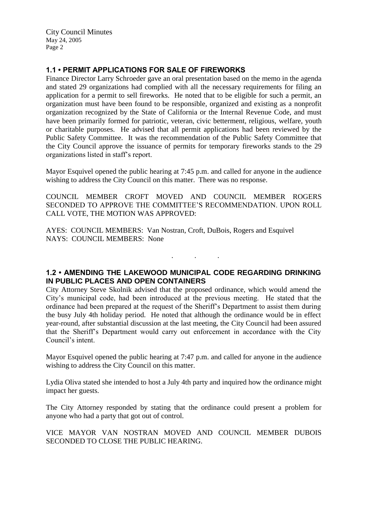City Council Minutes May 24, 2005 Page 2

# **1.1 • PERMIT APPLICATIONS FOR SALE OF FIREWORKS**

Finance Director Larry Schroeder gave an oral presentation based on the memo in the agenda and stated 29 organizations had complied with all the necessary requirements for filing an application for a permit to sell fireworks. He noted that to be eligible for such a permit, an organization must have been found to be responsible, organized and existing as a nonprofit organization recognized by the State of California or the Internal Revenue Code, and must have been primarily formed for patriotic, veteran, civic betterment, religious, welfare, youth or charitable purposes. He advised that all permit applications had been reviewed by the Public Safety Committee. It was the recommendation of the Public Safety Committee that the City Council approve the issuance of permits for temporary fireworks stands to the 29 organizations listed in staff's report.

Mayor Esquivel opened the public hearing at 7:45 p.m. and called for anyone in the audience wishing to address the City Council on this matter. There was no response.

COUNCIL MEMBER CROFT MOVED AND COUNCIL MEMBER ROGERS SECONDED TO APPROVE THE COMMITTEE'S RECOMMENDATION. UPON ROLL CALL VOTE, THE MOTION WAS APPROVED:

AYES: COUNCIL MEMBERS: Van Nostran, Croft, DuBois, Rogers and Esquivel NAYS: COUNCIL MEMBERS: None

# **1.2 • AMENDING THE LAKEWOOD MUNICIPAL CODE REGARDING DRINKING IN PUBLIC PLACES AND OPEN CONTAINERS**

. . .

City Attorney Steve Skolnik advised that the proposed ordinance, which would amend the City's municipal code, had been introduced at the previous meeting. He stated that the ordinance had been prepared at the request of the Sheriff's Department to assist them during the busy July 4th holiday period. He noted that although the ordinance would be in effect year-round, after substantial discussion at the last meeting, the City Council had been assured that the Sheriff's Department would carry out enforcement in accordance with the City Council's intent.

Mayor Esquivel opened the public hearing at 7:47 p.m. and called for anyone in the audience wishing to address the City Council on this matter.

Lydia Oliva stated she intended to host a July 4th party and inquired how the ordinance might impact her guests.

The City Attorney responded by stating that the ordinance could present a problem for anyone who had a party that got out of control.

VICE MAYOR VAN NOSTRAN MOVED AND COUNCIL MEMBER DUBOIS SECONDED TO CLOSE THE PUBLIC HEARING.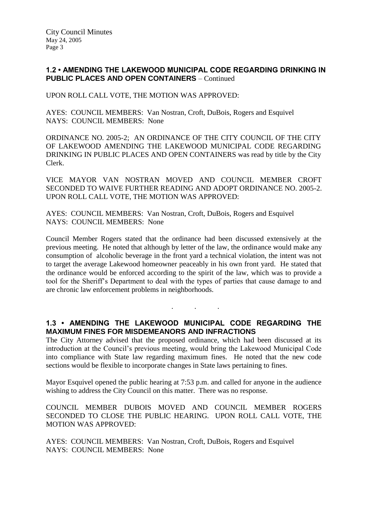## **1.2 • AMENDING THE LAKEWOOD MUNICIPAL CODE REGARDING DRINKING IN PUBLIC PLACES AND OPEN CONTAINERS** – Continued

UPON ROLL CALL VOTE, THE MOTION WAS APPROVED:

AYES: COUNCIL MEMBERS: Van Nostran, Croft, DuBois, Rogers and Esquivel NAYS: COUNCIL MEMBERS: None

ORDINANCE NO. 2005-2; AN ORDINANCE OF THE CITY COUNCIL OF THE CITY OF LAKEWOOD AMENDING THE LAKEWOOD MUNICIPAL CODE REGARDING DRINKING IN PUBLIC PLACES AND OPEN CONTAINERS was read by title by the City Clerk.

VICE MAYOR VAN NOSTRAN MOVED AND COUNCIL MEMBER CROFT SECONDED TO WAIVE FURTHER READING AND ADOPT ORDINANCE NO. 2005-2. UPON ROLL CALL VOTE, THE MOTION WAS APPROVED:

AYES: COUNCIL MEMBERS: Van Nostran, Croft, DuBois, Rogers and Esquivel NAYS: COUNCIL MEMBERS: None

Council Member Rogers stated that the ordinance had been discussed extensively at the previous meeting. He noted that although by letter of the law, the ordinance would make any consumption of alcoholic beverage in the front yard a technical violation, the intent was not to target the average Lakewood homeowner peaceably in his own front yard. He stated that the ordinance would be enforced according to the spirit of the law, which was to provide a tool for the Sheriff's Department to deal with the types of parties that cause damage to and are chronic law enforcement problems in neighborhoods.

## **1.3 • AMENDING THE LAKEWOOD MUNICIPAL CODE REGARDING THE MAXIMUM FINES FOR MISDEMEANORS AND INFRACTIONS**

. . .

The City Attorney advised that the proposed ordinance, which had been discussed at its introduction at the Council's previous meeting, would bring the Lakewood Municipal Code into compliance with State law regarding maximum fines. He noted that the new code sections would be flexible to incorporate changes in State laws pertaining to fines.

Mayor Esquivel opened the public hearing at 7:53 p.m. and called for anyone in the audience wishing to address the City Council on this matter. There was no response.

COUNCIL MEMBER DUBOIS MOVED AND COUNCIL MEMBER ROGERS SECONDED TO CLOSE THE PUBLIC HEARING. UPON ROLL CALL VOTE, THE MOTION WAS APPROVED:

AYES: COUNCIL MEMBERS: Van Nostran, Croft, DuBois, Rogers and Esquivel NAYS: COUNCIL MEMBERS: None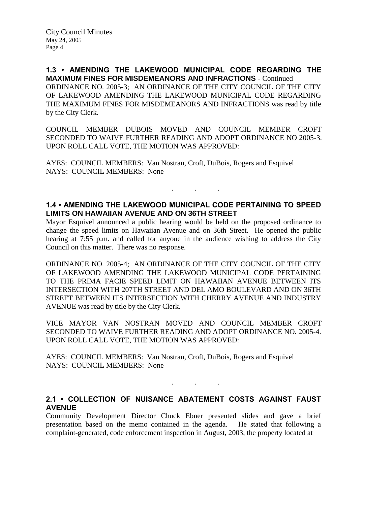**1.3 • AMENDING THE LAKEWOOD MUNICIPAL CODE REGARDING THE MAXIMUM FINES FOR MISDEMEANORS AND INFRACTIONS** - Continued ORDINANCE NO. 2005-3; AN ORDINANCE OF THE CITY COUNCIL OF THE CITY OF LAKEWOOD AMENDING THE LAKEWOOD MUNICIPAL CODE REGARDING THE MAXIMUM FINES FOR MISDEMEANORS AND INFRACTIONS was read by title by the City Clerk.

COUNCIL MEMBER DUBOIS MOVED AND COUNCIL MEMBER CROFT SECONDED TO WAIVE FURTHER READING AND ADOPT ORDINANCE NO 2005-3. UPON ROLL CALL VOTE, THE MOTION WAS APPROVED:

AYES: COUNCIL MEMBERS: Van Nostran, Croft, DuBois, Rogers and Esquivel NAYS: COUNCIL MEMBERS: None

## **1.4 • AMENDING THE LAKEWOOD MUNICIPAL CODE PERTAINING TO SPEED LIMITS ON HAWAIIAN AVENUE AND ON 36TH STREET**

. . .

Mayor Esquivel announced a public hearing would be held on the proposed ordinance to change the speed limits on Hawaiian Avenue and on 36th Street. He opened the public hearing at 7:55 p.m. and called for anyone in the audience wishing to address the City Council on this matter. There was no response.

ORDINANCE NO. 2005-4; AN ORDINANCE OF THE CITY COUNCIL OF THE CITY OF LAKEWOOD AMENDING THE LAKEWOOD MUNICIPAL CODE PERTAINING TO THE PRIMA FACIE SPEED LIMIT ON HAWAIIAN AVENUE BETWEEN ITS INTERSECTION WITH 207TH STREET AND DEL AMO BOULEVARD AND ON 36TH STREET BETWEEN ITS INTERSECTION WITH CHERRY AVENUE AND INDUSTRY AVENUE was read by title by the City Clerk.

VICE MAYOR VAN NOSTRAN MOVED AND COUNCIL MEMBER CROFT SECONDED TO WAIVE FURTHER READING AND ADOPT ORDINANCE NO. 2005-4. UPON ROLL CALL VOTE, THE MOTION WAS APPROVED:

AYES: COUNCIL MEMBERS: Van Nostran, Croft, DuBois, Rogers and Esquivel NAYS: COUNCIL MEMBERS: None

### **2.1 • COLLECTION OF NUISANCE ABATEMENT COSTS AGAINST FAUST AVENUE**

. . .

Community Development Director Chuck Ebner presented slides and gave a brief presentation based on the memo contained in the agenda. He stated that following a complaint-generated, code enforcement inspection in August, 2003, the property located at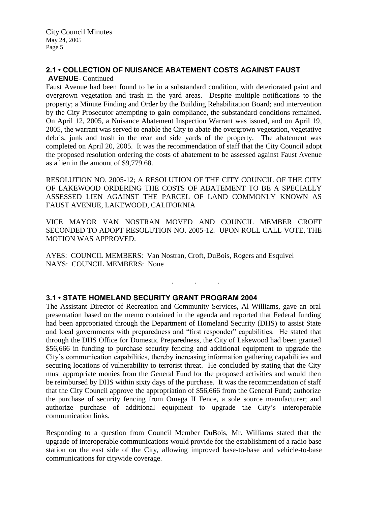## **2.1 • COLLECTION OF NUISANCE ABATEMENT COSTS AGAINST FAUST AVENUE**- Continued

Faust Avenue had been found to be in a substandard condition, with deteriorated paint and overgrown vegetation and trash in the yard areas. Despite multiple notifications to the property; a Minute Finding and Order by the Building Rehabilitation Board; and intervention by the City Prosecutor attempting to gain compliance, the substandard conditions remained. On April 12, 2005, a Nuisance Abatement Inspection Warrant was issued, and on April 19, 2005, the warrant was served to enable the City to abate the overgrown vegetation, vegetative debris, junk and trash in the rear and side yards of the property. The abatement was completed on April 20, 2005. It was the recommendation of staff that the City Council adopt the proposed resolution ordering the costs of abatement to be assessed against Faust Avenue as a lien in the amount of \$9,779.68.

RESOLUTION NO. 2005-12; A RESOLUTION OF THE CITY COUNCIL OF THE CITY OF LAKEWOOD ORDERING THE COSTS OF ABATEMENT TO BE A SPECIALLY ASSESSED LIEN AGAINST THE PARCEL OF LAND COMMONLY KNOWN AS FAUST AVENUE, LAKEWOOD, CALIFORNIA

VICE MAYOR VAN NOSTRAN MOVED AND COUNCIL MEMBER CROFT SECONDED TO ADOPT RESOLUTION NO. 2005-12. UPON ROLL CALL VOTE, THE MOTION WAS APPROVED:

. . .

AYES: COUNCIL MEMBERS: Van Nostran, Croft, DuBois, Rogers and Esquivel NAYS: COUNCIL MEMBERS: None

## **3.1 • STATE HOMELAND SECURITY GRANT PROGRAM 2004**

The Assistant Director of Recreation and Community Services, Al Williams, gave an oral presentation based on the memo contained in the agenda and reported that Federal funding had been appropriated through the Department of Homeland Security (DHS) to assist State and local governments with preparedness and "first responder" capabilities. He stated that through the DHS Office for Domestic Preparedness, the City of Lakewood had been granted \$56,666 in funding to purchase security fencing and additional equipment to upgrade the City's communication capabilities, thereby increasing information gathering capabilities and securing locations of vulnerability to terrorist threat. He concluded by stating that the City must appropriate monies from the General Fund for the proposed activities and would then be reimbursed by DHS within sixty days of the purchase. It was the recommendation of staff that the City Council approve the appropriation of \$56,666 from the General Fund; authorize the purchase of security fencing from Omega II Fence, a sole source manufacturer; and authorize purchase of additional equipment to upgrade the City's interoperable communication links.

Responding to a question from Council Member DuBois, Mr. Williams stated that the upgrade of interoperable communications would provide for the establishment of a radio base station on the east side of the City, allowing improved base-to-base and vehicle-to-base communications for citywide coverage.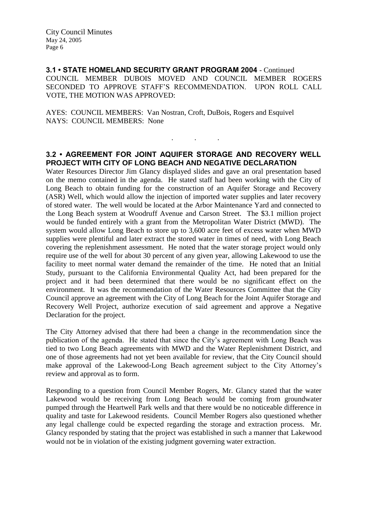City Council Minutes May 24, 2005 Page 6

**3.1 • STATE HOMELAND SECURITY GRANT PROGRAM 2004** - Continued COUNCIL MEMBER DUBOIS MOVED AND COUNCIL MEMBER ROGERS SECONDED TO APPROVE STAFF'S RECOMMENDATION. UPON ROLL CALL VOTE, THE MOTION WAS APPROVED:

AYES: COUNCIL MEMBERS: Van Nostran, Croft, DuBois, Rogers and Esquivel NAYS: COUNCIL MEMBERS: None

## **3.2 • AGREEMENT FOR JOINT AQUIFER STORAGE AND RECOVERY WELL PROJECT WITH CITY OF LONG BEACH AND NEGATIVE DECLARATION**

. . .

Water Resources Director Jim Glancy displayed slides and gave an oral presentation based on the memo contained in the agenda. He stated staff had been working with the City of Long Beach to obtain funding for the construction of an Aquifer Storage and Recovery (ASR) Well, which would allow the injection of imported water supplies and later recovery of stored water. The well would be located at the Arbor Maintenance Yard and connected to the Long Beach system at Woodruff Avenue and Carson Street. The \$3.1 million project would be funded entirely with a grant from the Metropolitan Water District (MWD). The system would allow Long Beach to store up to 3,600 acre feet of excess water when MWD supplies were plentiful and later extract the stored water in times of need, with Long Beach covering the replenishment assessment. He noted that the water storage project would only require use of the well for about 30 percent of any given year, allowing Lakewood to use the facility to meet normal water demand the remainder of the time. He noted that an Initial Study, pursuant to the California Environmental Quality Act, had been prepared for the project and it had been determined that there would be no significant effect on the environment. It was the recommendation of the Water Resources Committee that the City Council approve an agreement with the City of Long Beach for the Joint Aquifer Storage and Recovery Well Project, authorize execution of said agreement and approve a Negative Declaration for the project.

The City Attorney advised that there had been a change in the recommendation since the publication of the agenda. He stated that since the City's agreement with Long Beach was tied to two Long Beach agreements with MWD and the Water Replenishment District, and one of those agreements had not yet been available for review, that the City Council should make approval of the Lakewood-Long Beach agreement subject to the City Attorney's review and approval as to form.

Responding to a question from Council Member Rogers, Mr. Glancy stated that the water Lakewood would be receiving from Long Beach would be coming from groundwater pumped through the Heartwell Park wells and that there would be no noticeable difference in quality and taste for Lakewood residents. Council Member Rogers also questioned whether any legal challenge could be expected regarding the storage and extraction process. Mr. Glancy responded by stating that the project was established in such a manner that Lakewood would not be in violation of the existing judgment governing water extraction.